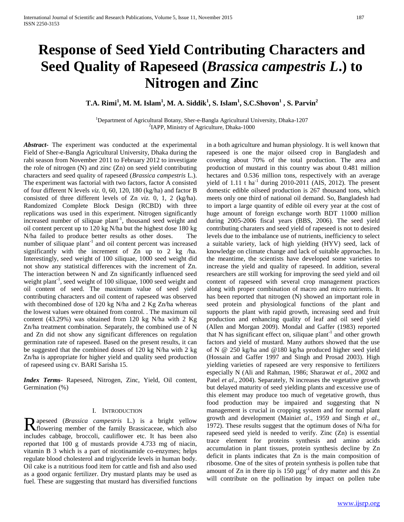# **Response of Seed Yield Contributing Characters and Seed Quality of Rapeseed (***Brassica campestris L***.) to Nitrogen and Zinc**

**T.A. Rimi<sup>1</sup> , M. M. Islam<sup>1</sup> , M. A. Siddik<sup>1</sup> , S. Islam<sup>1</sup> , S.C.Shovon<sup>1</sup> , S. Parvin<sup>2</sup>**

<sup>1</sup>Department of Agricultural Botany, Sher-e-Bangla Agricultural University, Dhaka-1207 <sup>2</sup>IAPP, Ministry of Agriculture, Dhaka-1000

*Abstract***-** The experiment was conducted at the experimental Field of Sher-e-Bangla Agricultural University, Dhaka during the rabi season from November 2011 to February 2012 to investigate the role of nitrogen (N) and zinc (Zn) on seed yield contributing characters and seed quality of rapeseed (*Brassica campestris* L.). The experiment was factorial with two factors, factor A consisted of four different N levels *viz.* 0, 60, 120, 180 (kg/ha) and factor B consisted of three different levels of Zn *viz.* 0, 1, 2 (kg/ha). Randomized Complete Block Design (RCBD) with three replications was used in this experiment. Nitrogen significantly increased number of siliquae plant<sup>-1</sup>, thousand seed weight and oil content percent up to 120 kg N/ha but the highest dose 180 kg N/ha failed to produce better results as other doses. The number of siliquae plant<sup>-1</sup> and oil content percent was increased significantly with the increment of Zn up to 2 kg /ha. Interestingly, seed weight of 100 siliquae, 1000 seed weight did not show any statistical differences with the increment of Zn. The interaction between N and Zn significantly influenced seed weight plant<sup>-1</sup>, seed weight of 100 siliquae, 1000 seed weight and oil content of seed. The maximum value of seed yield contributing characters and oil content of rapeseed was observed with thecombined dose of 120 kg N/ha and 2 Kg Zn/ha whereas the lowest values were obtained from control. . The maximum oil content (43.29%) was obtained from 120 kg N/ha with 2 Kg Zn/ha treatment combination. Separately, the combined use of N and Zn did not show any significant differences on regulation germination rate of rapeseed. Based on the present results, it can be suggested that the combined doses of 120 kg N/ha with 2 kg Zn/ha is appropriate for higher yield and quality seed production of rapeseed using cv. BARI Sarisha 15.

*Index Terms*- Rapeseed, Nitrogen, Zinc, Yield, Oil content, Germination (%)

#### I. INTRODUCTION

apeseed (*Brassica campestris* L.) is a bright yellow Rapeseed *(Brassica campestris L.)* is a bright yellow<br>
Howering member of the family Brassicaceae, which also includes cabbage, broccoli, cauliflower etc. It has been also reported that 100 g of mustards provide 4.733 mg of niacin, vitamin B 3 which is a part of nicotinamide co-enzymes; helps regulate blood cholesterol and triglyceride levels in human body. Oil cake is a nutritious food item for cattle and fish and also used as a good organic fertilizer. Dry mustard plants may be used as fuel. These are suggesting that mustard has diversified functions

in a both agriculture and human physiology. It is well known that rapeseed is one the major oilseed crop in Bangladesh and covering about 70% of the total production. The area and production of mustard in this country was about 0.481 million hectares and 0.536 million tons, respectively with an average yield of 1.11 t ha<sup>-1</sup> during 2010-2011 (AIS, 2012). The present domestic edible oilseed production is 267 thousand tons, which meets only one third of national oil demand. So, Bangladesh had to import a large quantity of edible oil every year at the cost of huge amount of foreign exchange worth BDT 11000 million during 2005-2006 fiscal years (BBS, 2006). The seed yield contributing charaters and seed yield of rapeseed is not to desired levels due to the imbalance use of nutrients, inefficiency to select a suitable variety, lack of high yielding (HYV) seed, lack of knowledge on climate change and lack of suitable approaches. In the meantime, the scientists have developed some varieties to increase the yield and quality of rapeseed. In addition, several researchers are still working for improving the seed yield and oil content of rapeseed with several crop management practices along with proper combination of macro and micro nutrients. It has been reported that nitrogen (N) showed an important role in seed protein and physiological functions of the plant and supports the plant with rapid growth, increasing seed and fruit production and enhancing quality of leaf and oil seed yield (Allen and Morgan 2009). Mondal and Gaffer (1983) reported that N has significant effect on, siliquae plant<sup>-1</sup> and other growth factors and yield of mustard. Many authors showed that the use of N @ 250 kg/ha and @180 kg/ha produced higher seed yield (Hossain and Gaffer 1997 and Singh and Prosad 2003). High yielding varieties of rapeseed are very responsive to fertilizers especially N (Ali and Rahman, 1986; Sharawat *et al*., 2002 and Patel *et al.*, 2004). Separately, N increases the vegetative growth but delayed maturity of seed yielding plants and excessive use of this element may produce too much of vegetative growth, thus food production may be impaired and suggesting that N management is crucial in cropping system and for normal plant growth and development (Maini*et al*., 1959 and Singh *et al*., 1972). These results suggest that the optimum doses of N/ha for rapeseed seed yield is needed to verify. Zinc (Zn) is essential trace element for proteins synthesis and amino acids accumulation in plant tissues, protein synthesis decline by Zn deficit in plants indicates that Zn is the main composition of ribosome. One of the sites of protein synthesis is pollen tube that amount of Zn in there tip is  $150 \mu gg^{-1}$  of dry matter and this Zn will contribute on the pollination by impact on pollen tube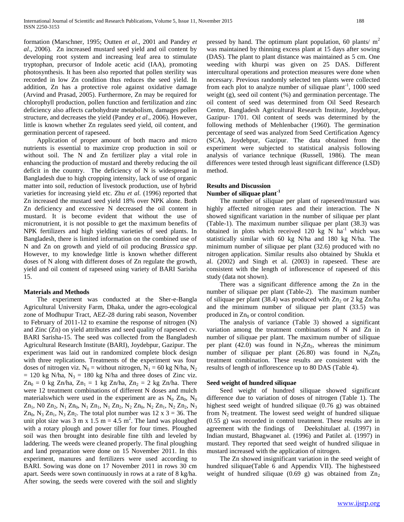formation (Marschner, 1995; Outten *et al*., 2001 and Pandey *et al*., 2006). Zn increased mustard seed yield and oil content by developing root system and increasing leaf area to stimulate tryptophan, precursor of Indole acetic acid (IAA), promoting photosynthesis. It has been also reported that pollen sterility was recorded in low Zn condition thus reduces the seed yield. In addition, Zn has a protective role against oxidative damage (Arvind and Prasad, 2005). Furthermore, Zn may be required for chlorophyll production, pollen function and fertilization and zinc deficiency also affects carbohydrate metabolism, damages pollen structure, and decreases the yield (Pandey *et al*., 2006). However, little is known whether Zn regulates seed yield, oil content, and germination percent of rapeseed.

 Application of proper amount of both macro and micro nutrients is essential to maximize crop production in soil or without soil. The N and Zn fertilizer play a vital role in enhancing the production of mustard and thereby reducing the oil deficit in the country. The deficiency of N is widespread in Bangladesh due to high cropping intensity, lack of use of organic matter into soil, reduction of livestock production, use of hybrid varieties for increasing yield etc. Zhu *et al.* (1996) reported that Zn increased the mustard seed yield 18% over NPK alone. Both Zn deficiency and excessive N decreased the oil content in mustard. It is become evident that without the use of micronutrient, it is not possible to get the maximum benefits of NPK fertilizers and high yielding varieties of seed plants. In Bangladesh, there is limited information on the combined use of N and Zn on growth and yield of oil producing *Brassica spp*. However, to my knowledge little is known whether different doses of N along with different doses of Zn regulate the growth, yield and oil content of rapeseed using variety of BARI Sarisha 15.

#### **Materials and Methods**

 The experiment was conducted at the Sher-e-Bangla Agricultural University Farm, Dhaka, under the agro-ecological zone of Modhupur Tract, AEZ-28 during rabi season, November to February of 2011-12 to examine the response of nitrogen (N) and Zinc (Zn) on yield attributes and seed quality of rapeseed cv. BARI Sarisha-15. The seed was collected from the Bangladesh Agricultural Research Institute (BARI), Joydebpur, Gazipur. The experiment was laid out in randomized complete block design with three replications. Treatments of the experiment was four doses of nitrogen viz.  $N_0$  = without nitrogen,  $N_1$  = 60 kg N/ha, N<sub>2</sub>  $= 120$  kg N/ha, N<sub>3</sub>  $= 180$  kg N/ha and three doses of Zinc viz.  $Zn_0 = 0$  kg Zn/ha,  $Zn_1 = 1$  kg Zn/ha,  $Zn_2 = 2$  kg Zn/ha. There were 12 treatment combinations of different N doses and mulch materialswhich were used in the experiment are as  $N_0$  Zn<sub>0</sub>, N<sub>0</sub>  $Zn_1$ , N0  $Zn_2$ , N<sub>1</sub>  $Zn_0$ , N<sub>1</sub>  $Zn_1$ , N<sub>1</sub>  $Zn_2$ , N<sub>2</sub>  $Zn_0$ , N<sub>2</sub>  $Zn_1$ , N<sub>2</sub>  $Zn_2$ , N<sub>3</sub>  $Zn_0$ , N<sub>3</sub>  $Zn_1$ , N<sub>3</sub>  $Zn_2$ . The total plot number was 12 x 3 = 36. The unit plot size was 3 m x 1.5 m = 4.5 m<sup>2</sup>. The land was ploughed with a rotary plough and power tiller for four times. Ploughed soil was then brought into desirable fine tilth and leveled by laddering. The weeds were cleaned properly. The final ploughing and land preparation were done on 15 November 2011. In this experiment, manures and fertilizers were used according to BARI. Sowing was done on 17 November 2011 in rows 30 cm apart. Seeds were sown continuously in rows at a rate of 8 kg/ha. After sowing, the seeds were covered with the soil and slightly

pressed by hand. The optimum plant population, 60 plants/ $m<sup>2</sup>$ was maintained by thinning excess plant at 15 days after sowing (DAS). The plant to plant distance was maintained as 5 cm. One weeding with khurpi was given on 25 DAS. Different intercultural operations and protection measures were done when necessary. Previous randomly selected ten plants were collected from each plot to analyze number of siliquae plant<sup>-1</sup>, 1000 seed weight (g), seed oil content (%) and germination percentage. The oil content of seed was determined from Oil Seed Research Centre, Bangladesh Agricultural Research Institute, Joydebpur, Gazipur- 1701. Oil content of seeds was determined by the following methods of Mehlenbacher (1960). The germination percentage of seed was analyzed from Seed Certification Agency (SCA), Joydebpur, Gazipur. The data obtained from the experiment were subjected to statistical analysis following analysis of variance technique (Russell, 1986). The mean differences were tested through least significant difference (LSD) method.

# **Results and Discussion**

## **Number of siliquae plant-1**

 The number of siliquae per plant of rapeseed/mustard was highly affected nitrogen rates and their interaction. The N showed significant variation in the number of siliquae per plant (Table-1). The maximum number siliquae per plant (38.3) was obtained in plots which received 120 kg N  $ha^{-1}$  which was statistically similar with 60 kg N/ha and 180 kg N/ha. The minimum number of siliquae per plant (32.6) produced with no nitrogen application. Similar results also obtained by Shukla et al. (2002) and Singh et al. (2003) in rapeseed. These are consistent with the length of inflorescence of rapeseed of this study (data not shown).

 There was a significant difference among the Zn in the number of siliquae per plant (Table-2). The maximum number of siliquae per plant (38.4) was produced with  $Zn_2$  or 2 kg Zn/ha and the minimum number of siliquae per plant (33.5) was produced in  $Zn_0$  or control condition.

 The analysis of variance (Table 3) showed a significant variation among the treatment combinations of N and Zn in number of siliquae per plant. The maximum number of siliquae per plant (42.0) was found in  $N_2Zn_2$ , whereas the minimum number of siliquae per plant (26.80) was found in  $N_0Zn_0$ treatment combination. These results are consistent with the results of length of inflorescence up to 80 DAS (Table 4).

#### **Seed weight of hundred siliquae**

 Seed weight of hundred siliquae showed significant difference due to variation of doses of nitrogen (Table 1). The highest seed weight of hundred siliquae (0.76 g) was obtained from  $N_2$  treatment. The lowest seed weight of hundred siliquae (0.55 g) was recorded in control treatment. These results are in agreement with the findings of Deekshitulaet al. (1997) in Indian mustard, Bhagwanet al. (1996) and Patilet al. (1997) in mustard. They reported that seed weight of hundred siliquae in mustard increased with the application of nitrogen.

 The Zn showed insignificant variation in the seed weight of hundred siliquae(Table 6 and Appendix VII). The highestseed weight of hundred siliquae (0.69 g) was obtained from  $Zn_2$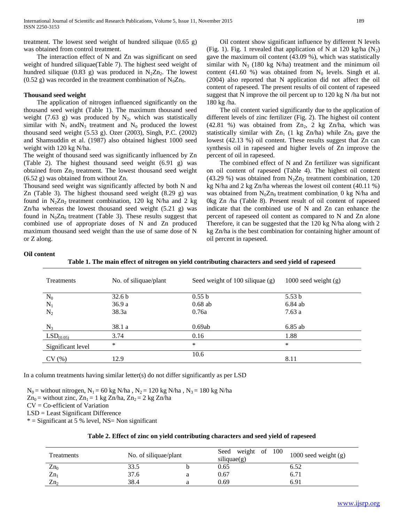treatment. The lowest seed weight of hundred siliquae  $(0.65 \text{ g})$ was obtained from control treatment.

 The interaction effect of N and Zn was significant on seed weight of hundred siliquae(Table 7). The highest seed weight of hundred siliquae (0.83 g) was produced in  $N_2Zn_2$ . The lowest (0.52 g) was recorded in the treatment combination of  $N_0Zn_0$ .

#### **Thousand seed weight**

 The application of nitrogen influenced significantly on the thousand seed weight (Table 1). The maximum thousand seed weight (7.63 g) was produced by  $N_2$ , which was statistically similar with  $N_1$  and  $N_3$  treatment and  $N_0$  produced the lowest thousand seed weight (5.53 g). Ozer (2003), Singh, P.C. (2002) and Shamsuddin et al. (1987) also obtained highest 1000 seed weight with 120 kg N/ha.

The weight of thousand seed was significantly influenced by Zn (Table 2). The highest thousand seed weight (6.91 g) was obtained from  $Zn_2$  treatment. The lowest thousand seed weight (6.52 g) was obtained from without Zn.

Thousand seed weight was significantly affected by both N and Zn (Table 3). The highest thousand seed weight (8.29 g) was found in  $N_2Zn_2$  treatment combination, 120 kg N/ha and 2 kg Zn/ha whereas the lowest thousand seed weight (5.21 g) was found in  $N_0Zn_0$  treatment (Table 3). These results suggest that combined use of appropriate doses of N and Zn produced maximum thousand seed weight than the use of same dose of N or Z along.

 Oil content show significant influence by different N levels (Fig. 1). Fig. 1 revealed that application of N at 120 kg/ha  $(N_2)$ gave the maximum oil content (43.09 %), which was statistically similar with  $N_3$  (180 kg N/ha) treatment and the minimum oil content (41.60 %) was obtained from  $N_0$  levels. Singh et al. (2004) also reported that N application did not affect the oil content of rapeseed. The present results of oil content of rapeseed suggest that N improve the oil percent up to 120 kg N /ha but not 180 kg /ha.

 The oil content varied significantly due to the application of different levels of zinc fertilizer (Fig. 2). The highest oil content (42.81 %) was obtained from  $Zn_2$ , 2 kg  $Zn/ha$ , which was statistically similar with  $Zn_1$  (1 kg Zn/ha) while  $Zn_0$  gave the lowest (42.13 %) oil content. These results suggest that Zn can synthesis oil in rapeseed and higher levels of Zn improve the percent of oil in rapeseed.

 The combined effect of N and Zn fertilizer was significant on oil content of rapeseed (Table 4). The highest oil content (43.29 %) was obtained from  $N_2Zn_2$  treatment combination, 120 kg N/ha and 2 kg Zn/ha whereas the lowest oil content (40.11 %) was obtained from  $N_0Zn_0$  treatment combination 0 kg N/ha and 0kg Zn /ha (Table 8). Present result of oil content of rapeseed indicate that the combined use of N and Zn can enhance the percent of rapeseed oil content as compared to N and Zn alone Therefore, it can be suggested that the 120 kg N/ha along with 2 kg Zn/ha is the best combination for containing higher amount of oil percent in rapeseed.

#### **Oil content**

| <b>Treatments</b>     | No. of siliquae/plant | Seed weight of $100$ siliquae $(g)$ | $1000$ seed weight $(g)$ |
|-----------------------|-----------------------|-------------------------------------|--------------------------|
| $\rm N_0$             | 32.6 <sub>b</sub>     | 0.55 b                              | 5.53 <sub>b</sub>        |
| $N_1$                 | 36.9a                 | $0.68$ ab                           | $6.84$ ab                |
| $N_2$                 | 38.3a                 | 0.76a                               | 7.63a                    |
| $N_3$                 | 38.1 a                | 0.69ab                              | $6.85$ ab                |
| LSD <sub>(0.05)</sub> | 3.74                  | 0.16                                | 1.88                     |
| Significant level     | $\ast$                | *                                   | $\ast$                   |
| CV(%)                 | 12.9                  | 10.6                                | 8.11                     |

**Table 1. The main effect of nitrogen on yield contributing characters and seed yield of rapeseed**

In a column treatments having similar letter $(s)$  do not differ significantly as per LSD

 $N_0$  = without nitrogen,  $N_1$  = 60 kg N/ha,  $N_2$  = 120 kg N/ha,  $N_3$  = 180 kg N/ha

 $Zn_0$  = without zinc,  $Zn_1 = 1$  kg  $Zn/ha$ ,  $Zn_2 = 2$  kg  $Zn/ha$ 

CV = Co-efficient of Variation

LSD = Least Significant Difference

 $*$  = Significant at 5 % level, NS= Non significant

| <b>Treatments</b> |      | No. of siliquae/plant |      | Seed weight of 100 | 1000 seed weight (g) |
|-------------------|------|-----------------------|------|--------------------|----------------------|
| $Zn_0$            | 33.5 |                       | 0.65 |                    | 6.52                 |
| $Zn_1$            | 37.6 |                       | 0.67 |                    | 6.71                 |
| Zn <sub>2</sub>   | 38.4 |                       | 0.69 |                    | 6.91                 |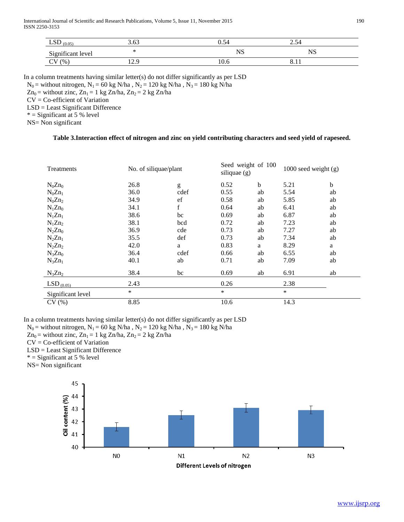International Journal of Scientific and Research Publications, Volume 5, Issue 11, November 2015 190 ISSN 2250-3153

| CD<br><b>LOD</b><br>(0.05) | 3.63        | $\sim$<br>U.S4 | $\overline{\phantom{0}}$<br>∠…– |  |
|----------------------------|-------------|----------------|---------------------------------|--|
| Significant level          |             | <b>NS</b>      | <b>NIC</b><br>טוי               |  |
| (%<br>ぃ                    | ם בי<br>⊥∠. | 10.6           |                                 |  |

In a column treatments having similar letter(s) do not differ significantly as per LSD

 $N_0$  = without nitrogen,  $N_1$  = 60 kg N/ha,  $N_2$  = 120 kg N/ha,  $N_3$  = 180 kg N/ha

 $Zn_0$  = without zinc,  $Zn_1$  = 1 kg Zn/ha,  $Zn_2$  = 2 kg Zn/ha

CV = Co-efficient of Variation

LSD = Least Significant Difference

 $*$  = Significant at 5 % level

NS= Non significant

### **Table 3.Interaction effect of nitrogen and zinc on yield contributing characters and seed yield of rapeseed.**

| Treatments        | No. of siliquae/plant |      | Seed weight of 100<br>siliquae $(g)$ |    | 1000 seed weight $(g)$ |    |
|-------------------|-----------------------|------|--------------------------------------|----|------------------------|----|
| $N_0 Zn_0$        | 26.8                  | g    | 0.52                                 | b  | 5.21                   | b  |
| $N_0Zn_1$         | 36.0                  | cdef | 0.55                                 | ab | 5.54                   | ab |
| $N_0Zn_2$         | 34.9                  | ef   | 0.58                                 | ab | 5.85                   | ab |
| $N_1Zn_0$         | 34.1                  | f    | 0.64                                 | ab | 6.41                   | ab |
| $N_1Zn_1$         | 38.6                  | bc   | 0.69                                 | ab | 6.87                   | ab |
| $N_1Zn_2$         | 38.1                  | bcd  | 0.72                                 | ab | 7.23                   | ab |
| $N_2Zn_0$         | 36.9                  | cde  | 0.73                                 | ab | 7.27                   | ab |
| $N_2Zn_1$         | 35.5                  | def  | 0.73                                 | ab | 7.34                   | ab |
| $N_2Zn_2$         | 42.0                  | a    | 0.83                                 | a  | 8.29                   | a  |
| $N_3Zn_0$         | 36.4                  | cdef | 0.66                                 | ab | 6.55                   | ab |
| $N_3Zn_1$         | 40.1                  | ab   | 0.71                                 | ab | 7.09                   | ab |
| $N_3Zn_2$         | 38.4                  | bc   | 0.69                                 | ab | 6.91                   | ab |
| $LSD_{(0.05)}$    | 2.43                  |      | 0.26                                 |    | 2.38                   |    |
| Significant level | $\ast$                |      | *                                    |    | *                      |    |
| CV(%)             | 8.85                  |      | 10.6                                 |    | 14.3                   |    |

In a column treatments having similar letter(s) do not differ significantly as per LSD

 $N_0$  = without nitrogen,  $N_1$  = 60 kg N/ha ,  $N_2$  = 120 kg N/ha ,  $N_3$  = 180 kg N/ha

 $Zn_0$  = without zinc,  $Zn_1$  = 1 kg  $Zn/ha$ ,  $Zn_2$  = 2 kg  $Zn/ha$ 

CV = Co-efficient of Variation

LSD = Least Significant Difference

 $* =$  Significant at 5 % level

NS= Non significant

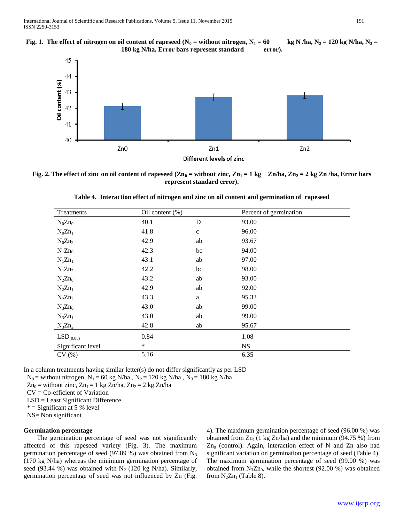



**Fig. 2. The effect of zinc on oil content of rapeseed (Zn<sub>0</sub> = without zinc, Zn<sub>1</sub> = 1 kg Zn/ha, Zn<sub>2</sub> = 2 kg Zn/ha, Error bars represent standard error).**

| Treatments            | Oil content $(\% )$ |             | Percent of germination |  |
|-----------------------|---------------------|-------------|------------------------|--|
| $N_0 Zn_0$            | 40.1                | D           | 93.00                  |  |
| $N_0Zn_1$             | 41.8                | $\mathbf c$ | 96.00                  |  |
| $N_0Zn_2$             | 42.9                | ab          | 93.67                  |  |
| $N_1Zn_0$             | 42.3                | bc          | 94.00                  |  |
| $N_1Zn_1$             | 43.1                | ab          | 97.00                  |  |
| $N_1Zn_2$             | 42.2                | bc          | 98.00                  |  |
| $N_2Zn_0$             | 43.2                | ab          | 93.00                  |  |
| $N_2Zn_1$             | 42.9                | ab          | 92.00                  |  |
| $N_2Zn_2$             | 43.3                | $\mathbf a$ | 95.33                  |  |
| $N_3Zn_0$             | 43.0                | ab          | 99.00                  |  |
| $N_3Zn_1$             | 43.0                | ab          | 99.00                  |  |
| $N_3Zn_2$             | 42.8                | ab          | 95.67                  |  |
| LSD <sub>(0.05)</sub> | 0.84                |             | 1.08                   |  |
| Significant level     | $\ast$              |             | $_{\rm NS}$            |  |
| CV(%)                 | 5.16                |             | 6.35                   |  |

**Table 4. Interaction effect of nitrogen and zinc on oil content and germination of rapeseed**

In a column treatments having similar letter(s) do not differ significantly as per LSD

 $N_0$  = without nitrogen,  $N_1$  = 60 kg N/ha,  $N_2$  = 120 kg N/ha,  $N_3$  = 180 kg N/ha

 $Zn_0$  = without zinc,  $Zn_1 = 1$  kg  $Zn/ha$ ,  $Zn_2 = 2$  kg  $Zn/ha$ 

CV = Co-efficient of Variation

LSD = Least Significant Difference

 $*$  = Significant at 5 % level

NS= Non significant

#### **Germination percentage**

 The germination percentage of seed was not significantly affected of this rapeseed variety (Fig. 3). The maximum germination percentage of seed (97.89 %) was obtained from  $N_3$ (170 kg N/ha) whereas the minimum germination percentage of seed (93.44 %) was obtained with  $N_2$  (120 kg N/ha). Similarly, germination percentage of seed was not influenced by Zn (Fig.

4). The maximum germination percentage of seed (96.00 %) was obtained from  $Zn_1$  (1 kg Zn/ha) and the minimum (94.75 %) from  $Zn<sub>0</sub>$  (control). Again, interaction effect of N and Zn also had significant variation on germination percentage of seed (Table 4). The maximum germination percentage of seed (99.00 %) was obtained from  $N_3Zn_0$ , while the shortest (92.00 %) was obtained from  $N_2Zn_1$  (Table 8).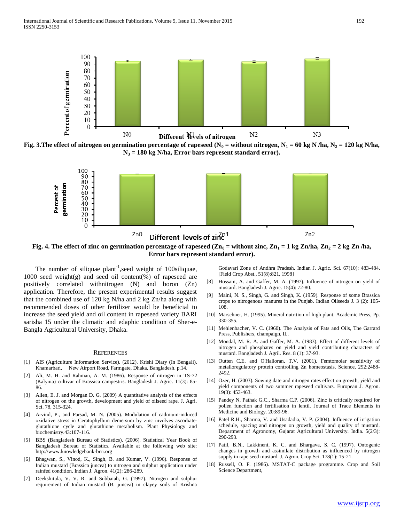

**Fig. 3.The effect of nitrogen on germination percentage of rapeseed (N<sub>0</sub> = without nitrogen, N<sub>1</sub> = 60 kg N/ha, N<sub>2</sub> = 120 kg N/ha, N<sup>3</sup> = 180 kg N/ha, Error bars represent standard error).**



**Fig. 4. The effect of zinc on germination percentage of rapeseed**  $(Zn_0 =$  **without zinc,**  $Zn_1 = 1$  **kg**  $Zn/ha$ **,**  $Zn_2 = 2$  **kg**  $Zn/ha$ **, Error bars represent standard error).**

The number of siliquae  $plant^{-1}$ , seed weight of 100 siliquae, 1000 seed weight(g) and seed oil content(%) of rapeseed are positively correlated withnitrogen (N) and boron (Zn) application. Therefore, the present experimental results suggest that the combined use of 120 kg N/ha and 2 kg Zn/ha along with recommended doses of other fertilizer would be beneficial to increase the seed yield and oil content in rapeseed variety BARI sarisha 15 under the climatic and edaphic condition of Sher-e-Bangla Agricultural University, Dhaka.

#### **REFERENCES**

- [1] AIS (Agriculture Information Service). (2012). Krishi Diary (In Bengali). Khamarbari, New Airport Road, Farmgate, Dhaka, Bangladesh. p.14.
- [2] Ali, M. H. and Rahman, A. M. (1986). Response of nitrogen in TS-72 (Kalynia) cultivar of Brassica campestris. Bangladesh J. Agric. 11(3): 85- 86.
- [3] Allen, E. J. and Morgan D. G. (2009) A quantitative analysis of the effects of nitrogen on the growth, development and yield of oilseed rape. J. Agri. Sci. 78, 315-324.
- [4] Arvind, P., and Parsad, M. N. (2005). Modulation of cadmium-induced oxidative stress in Ceratophyllum demersum by zinc involves ascorbateglutathione cycle and glutathione metabolism. Plant Physiology and biochemistry.43:107-116.
- [5] BBS (Bangladesh Bureau of Statistics). (2006). Statistical Year Book of Bangladesh Bureau of Statistics. Available at the following web site: http://www.knowledgebank-brri.org
- [6] Bhagwan, S., Vinod, K., Singh, B. and Kumar, V. (1996). Response of Indian mustard (Brassica juncea) to nitrogen and sulphur application under rainfed condition. Indian J. Agron. 41(2): 286-289.
- [7] Deekshitula, V. V. R. and Subbaiah, G. (1997). Nitrogen and sulphur requirement of Indian mustard (B. juncea) in clayey soils of Krishna

Godavari Zone of Andhra Pradesh. Indian J. Agric. Sci. 67(10): 483-484. [Field Crop Abst., 51(8):821, 1998]

- [8] Hossain, A. and Gaffer, M. A. (1997). Influence of nitrogen on yield of mustard. Bangladesh J. Agric. 15(4): 72-80.
- [9] Maini, N. S., Singh, G. and Singh, K. (1959). Response of some Brassica crops to nitrogenous manures in the Punjab. Indian Oilseeds J. 3 (2): 105- 108.
- [10] Marschner, H. (1995). Mineral nutrition of high plant. Academic Press, Pp. 330-355.
- [11] Mehlenbacher, V. C. (1960). The Analysis of Fats and Oils, The Garrard Press, Publishers, champaign, IL.
- [12] Mondal, M. R. A. and Gaffer, M. A. (1983). Effect of different levels of nitrogen and phosphates on yield and yield contributing characters of mustard. Bangladesh J. Agril. Res. 8 (1): 37-93.
- [13] Outten C.E. and O'Halloran, T.V. (2001). Femtomolar sensitivity of metalloregulatory protein controlling Zn homeostasis. Science, 292:2488- 2492.
- [14] Ozer, H. (2003). Sowing date and nitrogen rates effect on growth, yield and yield components of two summer rapeseed cultivars. European J. Agron. 19(3): 453-463.
- [15] Pandey N, Pathak G.C., Sharma C.P. (2006). Zinc is critically required for pollen function and fertilisation in lentil. Journal of Trace Elements in Medicine and Biology. 20:89-96.
- [16] Patel R.H., Sharma, V. and Usadadia, V. P. (2004). Influence of irrigation schedule, spacing and nitrogen on growth, yield and quality of mustard. Department of Agronomy, Gujarat Agricultural University. India. 5(2/3): 290-293.
- [17] Patil, B.N., Lakkineni, K. C. and Bhargava, S. C. (1997). Ontogenic changes in growth and assimilate distribution as influenced by nitrogen supply in rape seed mustard. J. Agron. Crop Sci. 178(1): 15-21.
- [18] Russell, O. F. (1986). MSTAT-C package programme. Crop and Soil Science Department,